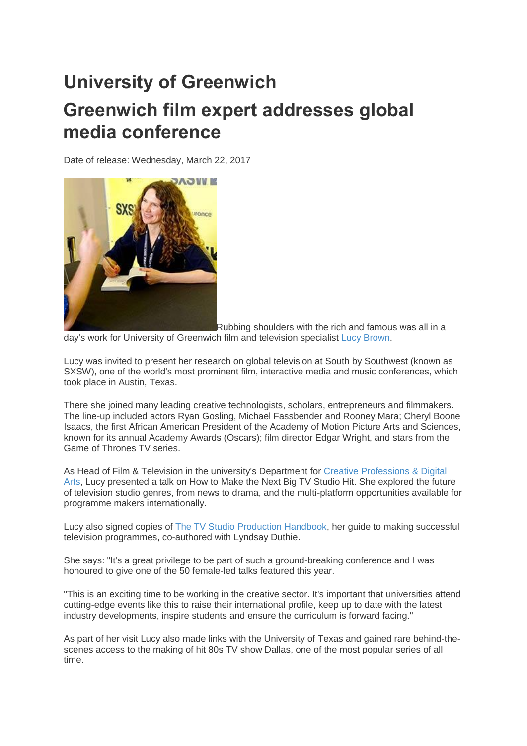## **University of Greenwich Greenwich film expert addresses global media conference**

Date of release: Wednesday, March 22, 2017



Rubbing shoulders with the rich and famous was all in a day's work for University of Greenwich film and television specialist [Lucy Brown.](https://www.gre.ac.uk/ach/study/cpda/staff/lucy_brown)

Lucy was invited to present her research on global television at South by Southwest (known as SXSW), one of the world's most prominent film, interactive media and music conferences, which took place in Austin, Texas.

There she joined many leading creative technologists, scholars, entrepreneurs and filmmakers. The line-up included actors Ryan Gosling, Michael Fassbender and Rooney Mara; Cheryl Boone Isaacs, the first African American President of the Academy of Motion Picture Arts and Sciences, known for its annual Academy Awards (Oscars); film director Edgar Wright, and stars from the Game of Thrones TV series.

As Head of Film & Television in the university's Department for [Creative Professions & Digital](https://www.gre.ac.uk/ach/study/cpda)  [Arts,](https://www.gre.ac.uk/ach/study/cpda) Lucy presented a talk on How to Make the Next Big TV Studio Hit. She explored the future of television studio genres, from news to drama, and the multi-platform opportunities available for programme makers internationally.

Lucy also signed copies of [The TV Studio Production Handbook,](http://www2.gre.ac.uk/about/news/articles/2016/a3743-making-tv-greenwich-lecturer-gives-insiders-guide) her guide to making successful television programmes, co-authored with Lyndsay Duthie.

She says: "It's a great privilege to be part of such a ground-breaking conference and I was honoured to give one of the 50 female-led talks featured this year.

"This is an exciting time to be working in the creative sector. It's important that universities attend cutting-edge events like this to raise their international profile, keep up to date with the latest industry developments, inspire students and ensure the curriculum is forward facing."

As part of her visit Lucy also made links with the University of Texas and gained rare behind-thescenes access to the making of hit 80s TV show Dallas, one of the most popular series of all time.